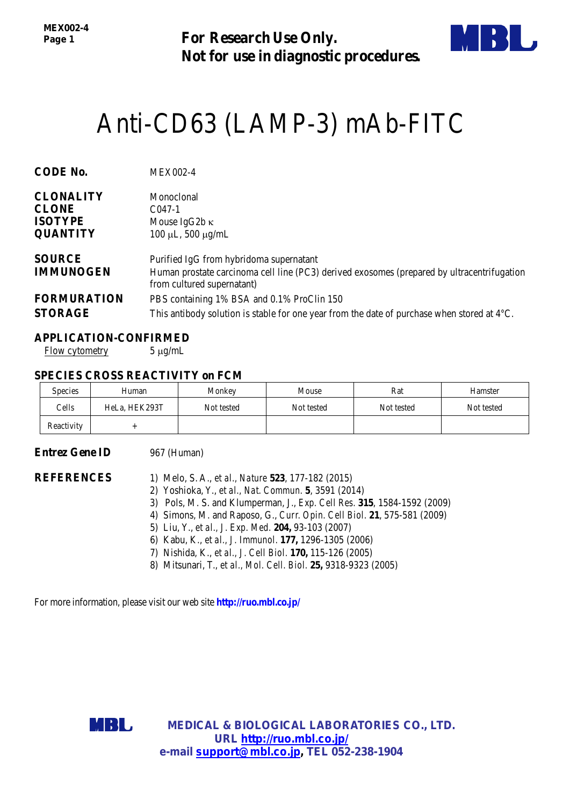*MEX002-4 Page 1*

**For Research Use Only. Not for use in diagnostic procedures.**



# [Anti-CD63 \(LAMP-3\) mAb-](http://ruo.mbl.co.jp/dtl/A/D252-5/)FITC

| <b>CODE No.</b>    | <b>MEX002-4</b>                                                                                                          |
|--------------------|--------------------------------------------------------------------------------------------------------------------------|
| <b>CLONALITY</b>   | Monoclonal                                                                                                               |
| <b>CLONE</b>       | $C047-1$                                                                                                                 |
| <b>ISOTYPE</b>     | Mouse IgG2b $\kappa$                                                                                                     |
| <b>QUANTITY</b>    | $100 \mu L$ , 500 $\mu$ g/mL                                                                                             |
| <b>SOURCE</b>      | Purified IgG from hybridoma supernatant                                                                                  |
| <b>IMMUNOGEN</b>   | Human prostate carcinoma cell line (PC3) derived exosomes (prepared by ultracentrifugation<br>from cultured supernatant) |
| <b>FORMURATION</b> | PBS containing 1% BSA and 0.1% ProClin 150                                                                               |
| <b>STORAGE</b>     | This antibody solution is stable for one year from the date of purchase when stored at $4^{\circ}C$ .                    |

## **APPLICATION-CONFIRMED**

Flow cytometry  $5 \mu g/mL$ 

## **SPECIES CROSS REACTIVITY on FCM**

| <b>Species</b> | Human         | Monkey     | Mouse      | Rat        | Hamster    |
|----------------|---------------|------------|------------|------------|------------|
| Cells          | HeLa, HEK293T | Not tested | Not tested | Not tested | Not tested |
| Reactivity     |               |            |            |            |            |

### **Entrez Gene ID** 967 (Human)

- **REFERENCES** 1) Melo, S. A., *et al., Nature* **523**, 177-182 (2015)
	- 2) Yoshioka, Y., *et al., Nat. Commun.* **5**, 3591 (2014)
	- 3) Pols, M. S. and Klumperman, J., *Exp. Cell Res.* **315**, 1584-1592 (2009)
	- 4) Simons, M. and Raposo, G., *Curr. Opin. Cell Biol.* **21**, 575-581 (2009)
	- 5) Liu, Y., *et al., J. Exp. Med.* **204,** 93-103 (2007)
	- 6) Kabu, K., *et al., J. Immunol.* **177,** 1296-1305 (2006)
	- 7) Nishida, K., *et al., J. Cell Biol.* **170,** 115-126 (2005)
	- 8) Mitsunari, T., *et al., Mol. Cell. Biol.* **25,** 9318-9323 (2005)

For more information, please visit our web site **http://ruo.mbl.co.jp/**



**MEDICAL & BIOLOGICAL LABORATORIES CO., LTD. URL [http://ruo.mbl.co.jp/](https://ruo.mbl.co.jp/je/rip-assay/) e-mail [support@mbl.co.jp,](mailto:support@mbl.co.jp) TEL 052-238-1904**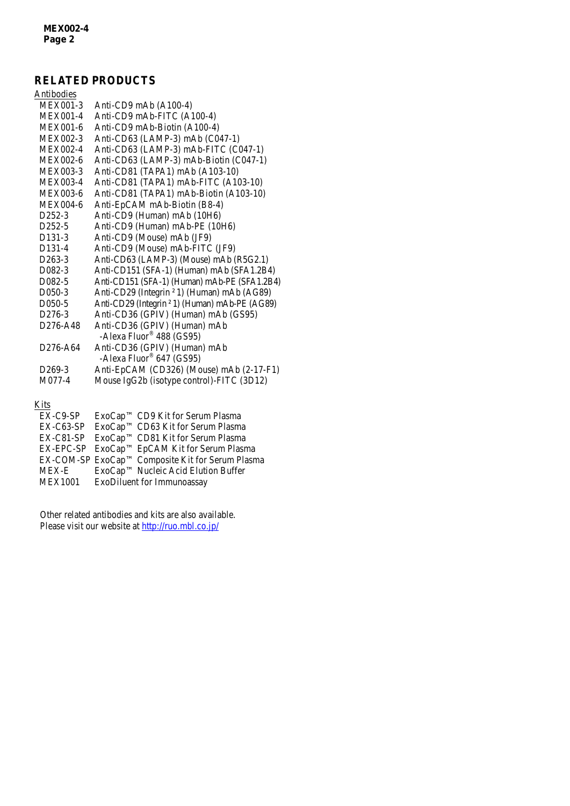# **RELATED PRODUCTS**

| Antibodies                        |                                                                      |
|-----------------------------------|----------------------------------------------------------------------|
| <b>MEX001-3</b>                   | Anti-CD9 mAb (A100-4)                                                |
| <b>MEX001-4</b>                   | Anti-CD9 mAb-FITC (A100-4)                                           |
| MEX001-6                          | Anti-CD9 mAb-Biotin (A100-4)                                         |
| <b>MEX002-3</b>                   | Anti-CD63 (LAMP-3) mAb (C047-1)                                      |
| <b>MEX002-4</b>                   | Anti-CD63 (LAMP-3) mAb-FITC (C047-1)                                 |
| MEX002-6                          | Anti-CD63 (LAMP-3) mAb-Biotin (C047-1)                               |
| <b>MEX003-3</b>                   | Anti-CD81 (TAPA1) mAb (A103-10)                                      |
| <b>MEX003-4</b>                   | Anti-CD81 (TAPA1) mAb-FITC (A103-10)                                 |
| <b>MEX003-6</b>                   | Anti-CD81 (TAPA1) mAb-Biotin (A103-10)                               |
| <b>MEX004-6</b>                   | Anti-EpCAM mAb-Biotin (B8-4)                                         |
| D <sub>252</sub> -3               | Anti-CD9 (Human) mAb (10H6)                                          |
| D <sub>252</sub> -5               | Anti-CD9 (Human) mAb-PE (10H6)                                       |
| D <sub>131</sub> -3               | Anti-CD9 (Mouse) mAb (JF9)                                           |
| D <sub>131</sub> -4               | Anti-CD9 (Mouse) mAb-FITC (JF9)                                      |
| $D263-3$                          | Anti-CD63 (LAMP-3) (Mouse) mAb (R5G2.1)                              |
| D <sub>0</sub> 82 <sup>-3</sup>   | Anti-CD151 (SFA-1) (Human) mAb (SFA1.2B4)                            |
| D <sub>0</sub> 82 <sup>-5</sup>   | Anti-CD151 (SFA-1) (Human) mAb-PE (SFA1.2B4)                         |
| D050-3                            | Anti-CD29 (Integrin <sup>2</sup> 1) (Human) mAb (AG89)               |
| D <sub>050</sub> -5               | Anti-CD29 (Integrin <sup>2</sup> 1) (Human) mAb-PE (AG89)            |
| D <sub>276</sub> -3               | Anti-CD36 (GPIV) (Human) mAb (GS95)                                  |
| D <sub>276</sub> -A <sub>48</sub> | Anti-CD36 (GPIV) (Human) mAb<br>-Alexa Fluor <sup>®</sup> 488 (GS95) |
| D <sub>276</sub> -A <sub>64</sub> | Anti-CD36 (GPIV) (Human) mAb<br>-Alexa Fluor® 647 (GS95)             |
| D <sub>269</sub> -3               | Anti-EpCAM (CD326) (Mouse) mAb (2-17-F1)                             |
| M077-4                            | Mouse IgG2b (isotype control)-FITC (3D12)                            |
|                                   |                                                                      |

# Kits

| $EX-C9-SP$     | ExoCap™ CD9 Kit for Serum Plasma                         |
|----------------|----------------------------------------------------------|
| $EX-C63-SP$    | ExoCap™ CD63 Kit for Serum Plasma                        |
|                | EX-C81-SP ExoCap <sup>TM</sup> CD81 Kit for Serum Plasma |
|                | EX-EPC-SP ExoCap™ EpCAM Kit for Serum Plasma             |
|                | EX-COM-SP ExoCap™ Composite Kit for Serum Plasma         |
| <b>MEX-E</b>   | ExoCap™ Nucleic Acid Elution Buffer                      |
| <b>MEX1001</b> | ExoDiluent for Immunoassay                               |
|                |                                                          |

Other related antibodies and kits are also available. Please visit our website at<http://ruo.mbl.co.jp/>